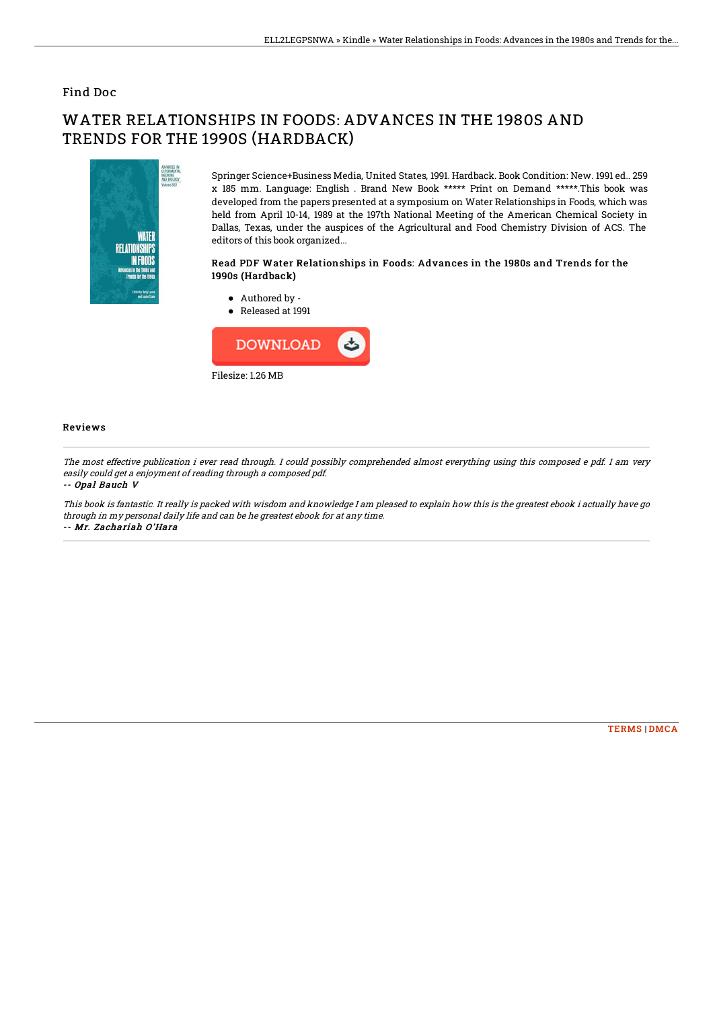## Find Doc

# WATER RELATIONSHIPS IN FOODS: ADVANCES IN THE 1980S AND TRENDS FOR THE 1990S (HARDBACK)



Springer Science+Business Media, United States, 1991. Hardback. Book Condition: New. 1991 ed.. 259 x 185 mm. Language: English . Brand New Book \*\*\*\*\* Print on Demand \*\*\*\*\*.This book was developed from the papers presented at a symposium on Water Relationships in Foods, which was held from April 10-14, 1989 at the 197th National Meeting of the American Chemical Society in Dallas, Texas, under the auspices of the Agricultural and Food Chemistry Division of ACS. The editors of this book organized...

### Read PDF Water Relationships in Foods: Advances in the 1980s and Trends for the 1990s (Hardback)

Authored by - ● Released at 1991



#### Reviews

The most effective publication i ever read through. I could possibly comprehended almost everything using this composed <sup>e</sup> pdf. I am very easily could get <sup>a</sup> enjoyment of reading through <sup>a</sup> composed pdf.

#### -- Opal Bauch V

This book is fantastic. It really is packed with wisdom and knowledge I am pleased to explain how this is the greatest ebook i actually have go through in my personal daily life and can be he greatest ebook for at any time. -- Mr. Zachariah O'Hara